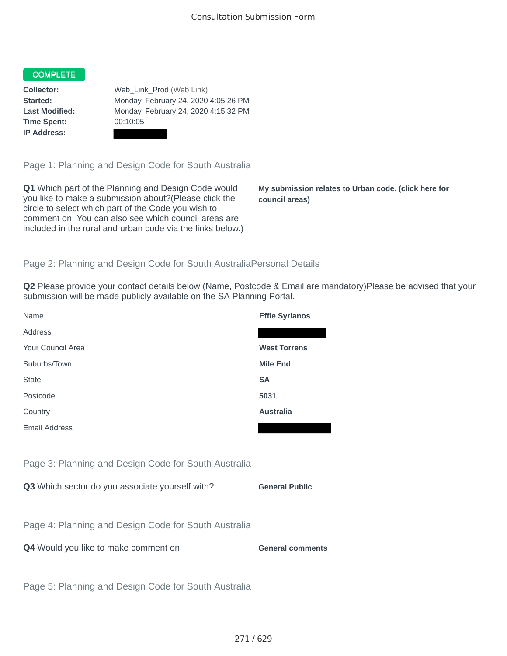## COMPLETE

**Time Spent:** 00:10:05 **IP Address:**

**Collector:** Web\_Link\_Prod (Web Link) **Started:** Monday, February 24, 2020 4:05:26 PM **Last Modified:** Monday, February 24, 2020 4:15:32 PM

Page 1: Planning and Design Code for South Australia

**Q1** Which part of the Planning and Design Code would you like to make a submission about?(Please click the circle to select which part of the Code you wish to comment on. You can also see which council areas are included in the rural and urban code via the links below.)

**My submission relates to Urban code. (click here for council areas)**

## Page 2: Planning and Design Code for South AustraliaPersonal Details

**Q2** Please provide your contact details below (Name, Postcode & Email are mandatory)Please be advised that your submission will be made publicly available on the SA Planning Portal.

| Name                                                 | <b>Effie Syrianos</b>   |
|------------------------------------------------------|-------------------------|
| Address                                              |                         |
| Your Council Area                                    | <b>West Torrens</b>     |
| Suburbs/Town                                         | <b>Mile End</b>         |
| <b>State</b>                                         | <b>SA</b>               |
| Postcode                                             | 5031                    |
| Country                                              | <b>Australia</b>        |
| <b>Email Address</b>                                 |                         |
|                                                      |                         |
| Page 3: Planning and Design Code for South Australia |                         |
| Q3 Which sector do you associate yourself with?      | <b>General Public</b>   |
|                                                      |                         |
| Page 4: Planning and Design Code for South Australia |                         |
| Q4 Would you like to make comment on                 | <b>General comments</b> |
|                                                      |                         |
| Page 5: Planning and Design Code for South Australia |                         |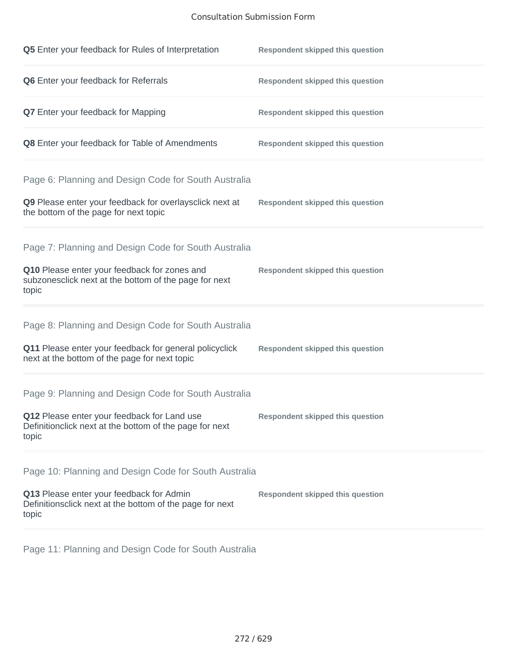## Consultation Submission Form

| Q5 Enter your feedback for Rules of Interpretation                                                              | <b>Respondent skipped this question</b> |
|-----------------------------------------------------------------------------------------------------------------|-----------------------------------------|
| Q6 Enter your feedback for Referrals                                                                            | <b>Respondent skipped this question</b> |
| <b>Q7</b> Enter your feedback for Mapping                                                                       | <b>Respondent skipped this question</b> |
| Q8 Enter your feedback for Table of Amendments                                                                  | <b>Respondent skipped this question</b> |
| Page 6: Planning and Design Code for South Australia                                                            |                                         |
| Q9 Please enter your feedback for overlaysclick next at<br>the bottom of the page for next topic                | <b>Respondent skipped this question</b> |
| Page 7: Planning and Design Code for South Australia                                                            |                                         |
| Q10 Please enter your feedback for zones and<br>subzonesclick next at the bottom of the page for next<br>topic  | <b>Respondent skipped this question</b> |
| Page 8: Planning and Design Code for South Australia                                                            |                                         |
| Q11 Please enter your feedback for general policyclick<br>next at the bottom of the page for next topic         | <b>Respondent skipped this question</b> |
| Page 9: Planning and Design Code for South Australia                                                            |                                         |
| Q12 Please enter your feedback for Land use<br>Definitionclick next at the bottom of the page for next<br>topic | <b>Respondent skipped this question</b> |
| Page 10: Planning and Design Code for South Australia                                                           |                                         |
| Q13 Please enter your feedback for Admin<br>Definitionsclick next at the bottom of the page for next<br>topic   | <b>Respondent skipped this question</b> |

Page 11: Planning and Design Code for South Australia